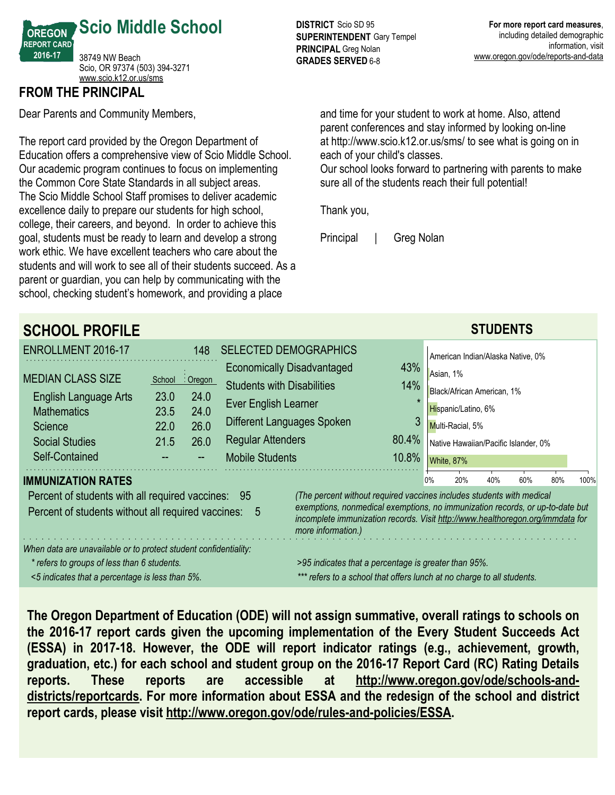

### **FROM THE PRINCIPAL**

Dear Parents and Community Members,

The report card provided by the Oregon Department of Education offers a comprehensive view of Scio Middle School. Our academic program continues to focus on implementing the Common Core State Standards in all subject areas. The Scio Middle School Staff promises to deliver academic excellence daily to prepare our students for high school, college, their careers, and beyond. In order to achieve this goal, students must be ready to learn and develop a strong work ethic. We have excellent teachers who care about the students and will work to see all of their students succeed. As a parent or guardian, you can help by communicating with the school, checking student's homework, and providing a place

**DISTRICT** Scio SD 95 **SUPERINTENDENT** Gary Tempel **PRINCIPAL** Greg Nolan **GRADES SERVED** 6-8

and time for your student to work at home. Also, attend parent conferences and stay informed by looking on-line at http://www.scio.k12.or.us/sms/ to see what is going on in each of your child's classes.

Our school looks forward to partnering with parents to make sure all of the students reach their full potential!

Thank you,

Principal | Greg Nolan

| <b>SCHOOL PROFILE</b>                                                                                 |                                                                                                                                                                                                                                                                |                  |                                   |                                   |       |    |                                      | <b>STUDENTS</b> |     |     |      |
|-------------------------------------------------------------------------------------------------------|----------------------------------------------------------------------------------------------------------------------------------------------------------------------------------------------------------------------------------------------------------------|------------------|-----------------------------------|-----------------------------------|-------|----|--------------------------------------|-----------------|-----|-----|------|
| ENROLLMENT 2016-17                                                                                    |                                                                                                                                                                                                                                                                | 148              |                                   | <b>SELECTED DEMOGRAPHICS</b>      |       |    | American Indian/Alaska Native, 0%    |                 |     |     |      |
| <b>MEDIAN CLASS SIZE</b>                                                                              |                                                                                                                                                                                                                                                                |                  |                                   | <b>Economically Disadvantaged</b> | 43%   |    | Asian, 1%                            |                 |     |     |      |
| English Language Arts                                                                                 | School<br>23.0                                                                                                                                                                                                                                                 | : Oregon<br>24.0 | <b>Students with Disabilities</b> |                                   | 14%   |    | Black/African American, 1%           |                 |     |     |      |
| <b>Mathematics</b>                                                                                    | 23.5                                                                                                                                                                                                                                                           | 24.0             | Ever English Learner              |                                   |       |    | Hispanic/Latino, 6%                  |                 |     |     |      |
| Science                                                                                               | 22.0                                                                                                                                                                                                                                                           | 26.0             |                                   | Different Languages Spoken        |       |    | Multi-Racial, 5%                     |                 |     |     |      |
| <b>Social Studies</b>                                                                                 | 21.5                                                                                                                                                                                                                                                           | 26.0             | <b>Regular Attenders</b>          |                                   | 80.4% |    | Native Hawaiian/Pacific Islander, 0% |                 |     |     |      |
| Self-Contained                                                                                        |                                                                                                                                                                                                                                                                |                  | <b>Mobile Students</b>            |                                   | 10.8% |    | White, 87%                           |                 |     |     |      |
| <b>IMMUNIZATION RATES</b>                                                                             |                                                                                                                                                                                                                                                                |                  |                                   |                                   |       | 0% | 20%                                  | 40%             | 60% | 80% | 100% |
| Percent of students with all required vaccines:<br>Percent of students without all required vaccines: | (The percent without required vaccines includes students with medical<br>exemptions, nonmedical exemptions, no immunization records, or up-to-date but<br>incomplete immunization records. Visit http://www.healthoregon.org/immdata for<br>more information.) |                  |                                   |                                   |       |    |                                      |                 |     |     |      |
| When data are unavailable or to protect student confidentiality:                                      |                                                                                                                                                                                                                                                                |                  |                                   |                                   |       |    |                                      |                 |     |     |      |
| * refers to groups of less than 6 students.                                                           | >95 indicates that a percentage is greater than 95%.                                                                                                                                                                                                           |                  |                                   |                                   |       |    |                                      |                 |     |     |      |
| <5 indicates that a percentage is less than 5%.                                                       | *** refers to a school that offers lunch at no charge to all students.                                                                                                                                                                                         |                  |                                   |                                   |       |    |                                      |                 |     |     |      |

**The Oregon Department of Education (ODE) will not assign summative, overall ratings to schools on the 2016-17 report cards given the upcoming implementation of the Every Student Succeeds Act (ESSA) in 2017-18. However, the ODE will report indicator ratings (e.g., achievement, growth, graduation, etc.) for each school and student group on the 2016-17 Report Card (RC) Rating Details reports. These reports are accessible at http://www.oregon.gov/ode/schools-anddistricts/reportcards. For more information about ESSA and the redesign of the school and district report cards, please visit http://www.oregon.gov/ode/rules-and-policies/ESSA.**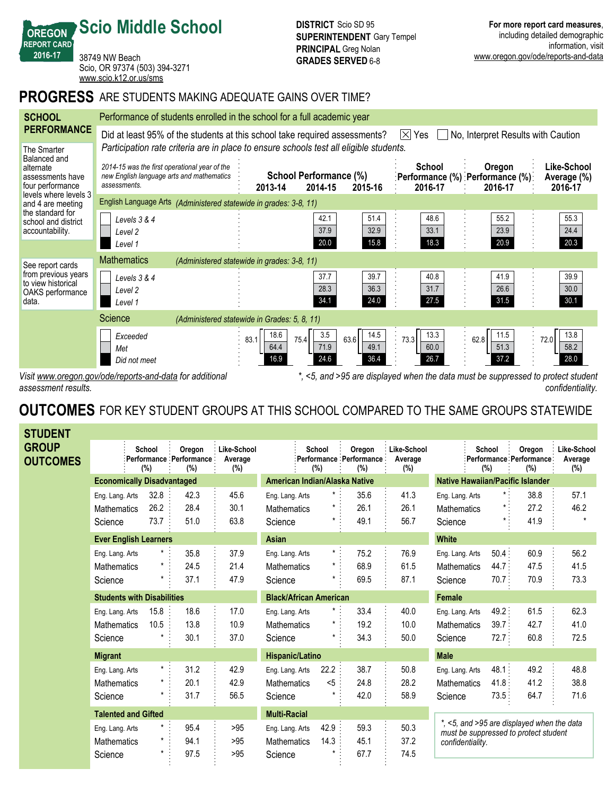#### **Scio Middle School DISTRICT** Scio SD 95 **SUPERINTENDENT** Gary Tempel **PRINCIPAL** Greg Nolan **GRADES SERVED** 6-8

**For more report card measures**, including detailed demographic information, visit www.oregon.gov/ode/reports-and-data

*confidentiality.*

38749 NW Beach Scio, OR 97374 (503) 394-3271 <www.scio.k12.or.us/sms>

## **PROGRESS** ARE STUDENTS MAKING ADEQUATE GAINS OVER TIME?

| <b>SCHOOL</b>                                                                    | Performance of students enrolled in the school for a full academic year                                                                                                                                                      |                                              |                                                         |                              |                                                                |                                                                                  |                                       |  |  |  |
|----------------------------------------------------------------------------------|------------------------------------------------------------------------------------------------------------------------------------------------------------------------------------------------------------------------------|----------------------------------------------|---------------------------------------------------------|------------------------------|----------------------------------------------------------------|----------------------------------------------------------------------------------|---------------------------------------|--|--|--|
| <b>PERFORMANCE</b>                                                               | $ \times $ Yes<br>Did at least 95% of the students at this school take required assessments?<br>No, Interpret Results with Caution<br>Participation rate criteria are in place to ensure schools test all eligible students. |                                              |                                                         |                              |                                                                |                                                                                  |                                       |  |  |  |
| The Smarter<br>Balanced and<br>alternate<br>assessments have<br>four performance | 2014-15 was the first operational year of the<br>new English language arts and mathematics<br>assessments.                                                                                                                   |                                              | School Performance (%)<br>2014-15<br>2013-14<br>2015-16 |                              | <b>School</b><br>:Performance (%) :Performance (%):<br>2016-17 | Oregon<br>2016-17                                                                | Like-School<br>Average (%)<br>2016-17 |  |  |  |
| levels where levels 3<br>and 4 are meeting                                       | English Language Arts (Administered statewide in grades: 3-8, 11)                                                                                                                                                            |                                              |                                                         |                              |                                                                |                                                                                  |                                       |  |  |  |
| the standard for<br>school and district<br>accountability.                       | Levels 3 & 4<br>Level 2<br>Level 1                                                                                                                                                                                           |                                              | 42.1<br>37.9<br>20.0                                    | 51.4<br>32.9<br>15.8         | 48.6<br>33.1<br>18.3                                           | 55.2<br>23.9<br>20.9                                                             | 55.3<br>24.4<br>20.3                  |  |  |  |
| See report cards                                                                 | <b>Mathematics</b>                                                                                                                                                                                                           | (Administered statewide in grades: 3-8, 11)  |                                                         |                              |                                                                |                                                                                  |                                       |  |  |  |
| from previous years<br>to view historical<br>OAKS performance<br>data.           | Levels $3 & 4$<br>Level <sub>2</sub><br>Level 1                                                                                                                                                                              |                                              | 37.7<br>28.3<br>34.1                                    | 39.7<br>36.3<br>24.0         | 40.8<br>31.7<br>27.5                                           | 41.9<br>26.6<br>31.5                                                             | 39.9<br>30.0<br>30.1                  |  |  |  |
|                                                                                  | Science                                                                                                                                                                                                                      | (Administered statewide in Grades: 5, 8, 11) |                                                         |                              |                                                                |                                                                                  |                                       |  |  |  |
|                                                                                  | Exceeded<br>Met<br>Did not meet                                                                                                                                                                                              | 83.1                                         | 18.6<br>3.5<br>75.4<br>64.4<br>71.9<br>16.9<br>24.6     | 14.5<br>63.6<br>49.1<br>36.4 | 13.3<br>73.3<br>60.0<br>26.7                                   | 11.5<br>62.8<br>51.3<br>37.2                                                     | 13.8<br>72.0<br>58.2<br>28.0          |  |  |  |
|                                                                                  | Visit www.oregon.gov/ode/reports-and-data for additional                                                                                                                                                                     |                                              |                                                         |                              |                                                                | *, <5, and >95 are displayed when the data must be suppressed to protect student |                                       |  |  |  |

*assessment results.*

**OREGON REPORT CARD 2016-17**

# **OUTCOMES** FOR KEY STUDENT GROUPS AT THIS SCHOOL COMPARED TO THE SAME GROUPS STATEWIDE

| <b>STUDENT</b>                  |                                   |                              |                                          |                               |                     |               |                                             |                               |                                                                                     |                |                                          |                               |
|---------------------------------|-----------------------------------|------------------------------|------------------------------------------|-------------------------------|---------------------|---------------|---------------------------------------------|-------------------------------|-------------------------------------------------------------------------------------|----------------|------------------------------------------|-------------------------------|
| <b>GROUP</b><br><b>OUTCOMES</b> |                                   | School<br>(%)                | Oregon<br>Performance Performance<br>(%) | Like-School<br>Average<br>(%) |                     | School<br>(%) | Oregon<br>:Performance : Performance<br>(%) | Like-School<br>Average<br>(%) | (%)                                                                                 | School         | Oregon<br>Performance Performance<br>(%) | Like-School<br>Average<br>(%) |
|                                 | <b>Economically Disadvantaged</b> |                              | American Indian/Alaska Native            |                               |                     |               | <b>Native Hawaiian/Pacific Islander</b>     |                               |                                                                                     |                |                                          |                               |
|                                 | Eng. Lang. Arts                   | 32.8                         | 42.3                                     | 45.6                          | Eng. Lang. Arts     | $\star$ .     | 35.6                                        | 41.3                          | Eng. Lang. Arts                                                                     | $\star$ :      | 38.8                                     | 57.1                          |
|                                 | <b>Mathematics</b>                | 26.2                         | 28.4                                     | 30.1                          | Mathematics         | *             | 26.1                                        | 26.1                          | <b>Mathematics</b>                                                                  |                | 27.2                                     | 46.2                          |
|                                 | Science                           | 73.7                         | 51.0                                     | 63.8                          | Science             | $^\star$      | 49.1                                        | 56.7                          | Science                                                                             |                | 41.9                                     | $\star$                       |
|                                 |                                   | <b>Ever English Learners</b> |                                          |                               | <b>Asian</b>        |               |                                             |                               | <b>White</b>                                                                        |                |                                          |                               |
|                                 | Eng. Lang. Arts                   |                              | 35.8                                     | 37.9                          | Eng. Lang. Arts     | $\star$ .     | 75.2                                        | 76.9                          | Eng. Lang. Arts                                                                     | 50.4:          | 60.9                                     | 56.2                          |
|                                 | <b>Mathematics</b>                |                              | 24.5                                     | 21.4                          | <b>Mathematics</b>  | *             | 68.9                                        | 61.5                          | <b>Mathematics</b>                                                                  | 44.7:          | 47.5                                     | 41.5                          |
|                                 | Science                           |                              | 37.1                                     | 47.9                          | Science             |               | 69.5                                        | 87.1                          | Science                                                                             | $70.7$ :       | 70.9                                     | 73.3                          |
|                                 | <b>Students with Disabilities</b> |                              |                                          | <b>Black/African American</b> |                     |               |                                             | <b>Female</b>                 |                                                                                     |                |                                          |                               |
|                                 | Eng. Lang. Arts                   | 15.8                         | 18.6                                     | 17.0                          | Eng. Lang. Arts     | *             | 33.4                                        | 40.0                          | Eng. Lang. Arts                                                                     | 49.2:          | 61.5                                     | 62.3                          |
|                                 | <b>Mathematics</b>                | 10.5                         | 13.8                                     | 10.9                          | Mathematics         |               | 19.2                                        | 10.0                          | <b>Mathematics</b>                                                                  | 39.7:          | 42.7                                     | 41.0                          |
|                                 | Science                           |                              | 30.1                                     | 37.0                          | Science             | *             | 34.3                                        | 50.0                          | Science                                                                             | 72.7:          | 60.8                                     | 72.5                          |
|                                 | <b>Migrant</b>                    |                              |                                          |                               | Hispanic/Latino     |               |                                             |                               | <b>Male</b>                                                                         |                |                                          |                               |
|                                 | Eng. Lang. Arts                   | $\star$                      | 31.2                                     | 42.9                          | Eng. Lang. Arts     | 22.2          | 38.7                                        | 50.8                          | Eng. Lang. Arts                                                                     | 48.1:          | 49.2                                     | 48.8                          |
|                                 | <b>Mathematics</b>                | $\star$                      | 20.1                                     | 42.9                          | <b>Mathematics</b>  | $5$           | 24.8                                        | 28.2                          | <b>Mathematics</b>                                                                  | 41.8:          | 41.2                                     | 38.8                          |
|                                 | Science                           |                              | 31.7                                     | 56.5                          | Science             |               | 42.0                                        | 58.9                          | Science                                                                             | $73.5^{\circ}$ | 64.7                                     | 71.6                          |
|                                 |                                   | <b>Talented and Gifted</b>   |                                          |                               | <b>Multi-Racial</b> |               |                                             |                               |                                                                                     |                |                                          |                               |
|                                 | Eng. Lang. Arts                   | $^{\star}$                   | 95.4                                     | >95                           | Eng. Lang. Arts     | 42.9          | 59.3                                        | 50.3                          | *, <5, and >95 are displayed when the data<br>must be suppressed to protect student |                |                                          |                               |
|                                 | <b>Mathematics</b>                | $\star$                      | 94.1                                     | >95                           | <b>Mathematics</b>  | 14.3          | 45.1                                        | 37.2                          | confidentiality.                                                                    |                |                                          |                               |
|                                 | Science                           | $\star$                      | 97.5                                     | >95                           | Science             |               | 67.7                                        | 74.5                          |                                                                                     |                |                                          |                               |
|                                 |                                   |                              |                                          |                               |                     |               |                                             |                               |                                                                                     |                |                                          |                               |